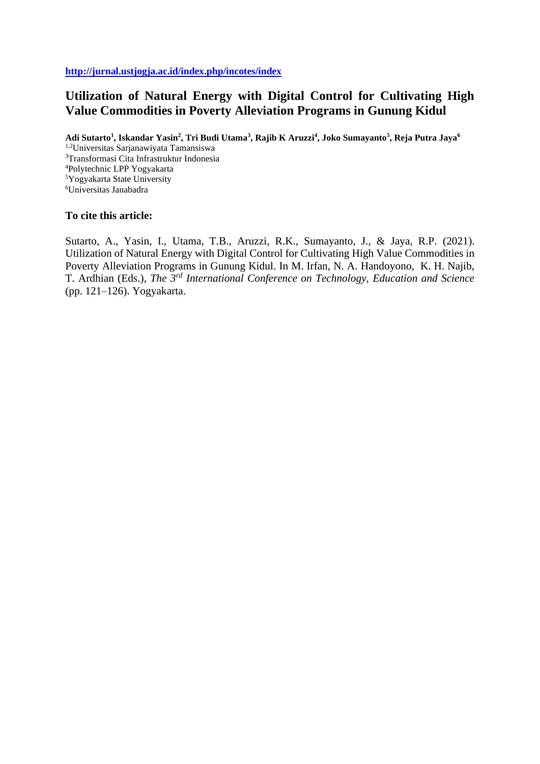**<http://jurnal.ustjogja.ac.id/index.php/incotes/index>**

# **Utilization of Natural Energy with Digital Control for Cultivating High Value Commodities in Poverty Alleviation Programs in Gunung Kidul**

**Adi Sutarto<sup>1</sup> , Iskandar Yasin<sup>2</sup> , Tri Budi Utama<sup>3</sup> , Rajib K Aruzzi<sup>4</sup> , Joko Sumayanto<sup>5</sup> , Reja Putra Jaya<sup>6</sup>** 1,2Universitas Sarjanawiyata Tamansiswa Transformasi Cita Infrastruktur Indonesia Polytechnic LPP Yogyakarta Yogyakarta State University Universitas Janabadra

## **To cite this article:**

Sutarto, A., Yasin, I., Utama, T.B., Aruzzi, R.K., Sumayanto, J., & Jaya, R.P. (2021). Utilization of Natural Energy with Digital Control for Cultivating High Value Commodities in Poverty Alleviation Programs in Gunung Kidul. In M. Irfan, N. A. Handoyono, K. H. Najib, T. Ardhian (Eds.), *The 3rd International Conference on Technology, Education and Science* (pp. 121–126). Yogyakarta.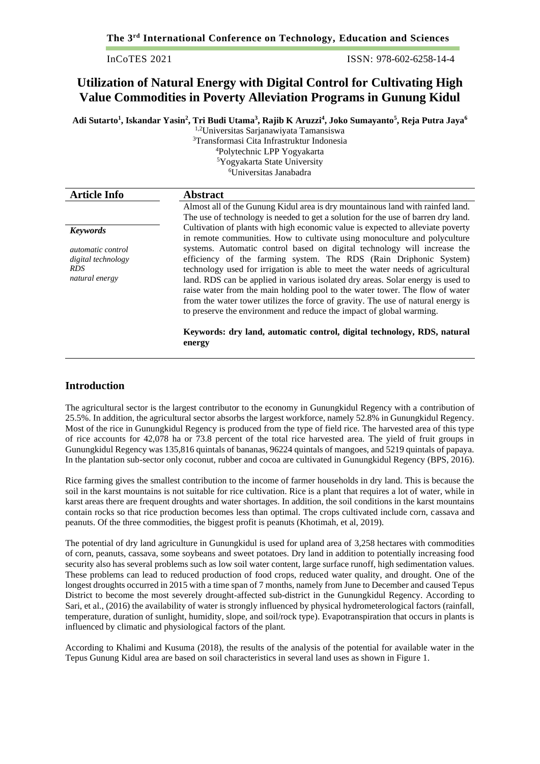ISSN: 978-602-6258-14-4

## **Utilization of Natural Energy with Digital Control for Cultivating High Value Commodities in Poverty Alleviation Programs in Gunung Kidul**

**Adi Sutarto<sup>1</sup> , Iskandar Yasin<sup>2</sup> , Tri Budi Utama<sup>3</sup> , Rajib K Aruzzi<sup>4</sup> , Joko Sumayanto<sup>5</sup> , Reja Putra Jaya<sup>6</sup>**

1,2Universitas Sarjanawiyata Tamansiswa

Transformasi Cita Infrastruktur Indonesia Polytechnic LPP Yogyakarta Yogyakarta State University Universitas Janabadra

| <b>Article Info</b>                                | <b>Abstract</b>                                                                                                                                                                                                                                                                                                        |
|----------------------------------------------------|------------------------------------------------------------------------------------------------------------------------------------------------------------------------------------------------------------------------------------------------------------------------------------------------------------------------|
|                                                    | Almost all of the Gunung Kidul area is dry mountainous land with rainfed land.                                                                                                                                                                                                                                         |
|                                                    | The use of technology is needed to get a solution for the use of barren dry land.                                                                                                                                                                                                                                      |
| <b>Keywords</b>                                    | Cultivation of plants with high economic value is expected to alleviate poverty<br>in remote communities. How to cultivate using monoculture and polyculture                                                                                                                                                           |
| <i>automatic control</i>                           | systems. Automatic control based on digital technology will increase the                                                                                                                                                                                                                                               |
| digital technology<br><b>RDS</b><br>natural energy | efficiency of the farming system. The RDS (Rain Driphonic System)<br>technology used for irrigation is able to meet the water needs of agricultural<br>land. RDS can be applied in various isolated dry areas. Solar energy is used to<br>raise water from the main holding pool to the water tower. The flow of water |
|                                                    | from the water tower utilizes the force of gravity. The use of natural energy is<br>to preserve the environment and reduce the impact of global warming.                                                                                                                                                               |

**Keywords: dry land, automatic control, digital technology, RDS, natural energy**

## **Introduction**

The agricultural sector is the largest contributor to the economy in Gunungkidul Regency with a contribution of 25.5%. In addition, the agricultural sector absorbs the largest workforce, namely 52.8% in Gunungkidul Regency. Most of the rice in Gunungkidul Regency is produced from the type of field rice. The harvested area of this type of rice accounts for 42,078 ha or 73.8 percent of the total rice harvested area. The yield of fruit groups in Gunungkidul Regency was 135,816 quintals of bananas, 96224 quintals of mangoes, and 5219 quintals of papaya. In the plantation sub-sector only coconut, rubber and cocoa are cultivated in Gunungkidul Regency (BPS, 2016).

Rice farming gives the smallest contribution to the income of farmer households in dry land. This is because the soil in the karst mountains is not suitable for rice cultivation. Rice is a plant that requires a lot of water, while in karst areas there are frequent droughts and water shortages. In addition, the soil conditions in the karst mountains contain rocks so that rice production becomes less than optimal. The crops cultivated include corn, cassava and peanuts. Of the three commodities, the biggest profit is peanuts (Khotimah, et al, 2019).

The potential of dry land agriculture in Gunungkidul is used for upland area of 3,258 hectares with commodities of corn, peanuts, cassava, some soybeans and sweet potatoes. Dry land in addition to potentially increasing food security also has several problems such as low soil water content, large surface runoff, high sedimentation values. These problems can lead to reduced production of food crops, reduced water quality, and drought. One of the longest droughts occurred in 2015 with a time span of 7 months, namely from June to December and caused Tepus District to become the most severely drought-affected sub-district in the Gunungkidul Regency. According to Sari, et al., (2016) the availability of water is strongly influenced by physical hydrometerological factors (rainfall, temperature, duration of sunlight, humidity, slope, and soil/rock type). Evapotranspiration that occurs in plants is influenced by climatic and physiological factors of the plant.

According to Khalimi and Kusuma (2018), the results of the analysis of the potential for available water in the Tepus Gunung Kidul area are based on soil characteristics in several land uses as shown in Figure 1.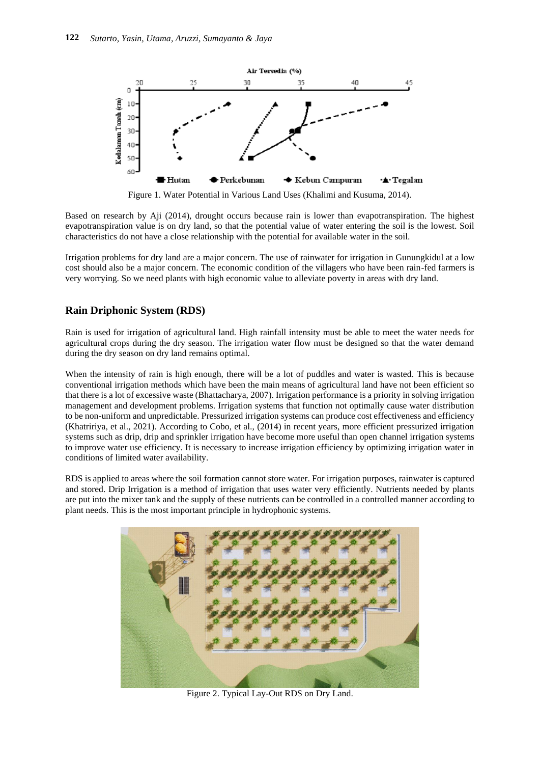

Figure 1. Water Potential in Various Land Uses (Khalimi and Kusuma, 2014).

Based on research by Aji (2014), drought occurs because rain is lower than evapotranspiration. The highest evapotranspiration value is on dry land, so that the potential value of water entering the soil is the lowest. Soil characteristics do not have a close relationship with the potential for available water in the soil.

Irrigation problems for dry land are a major concern. The use of rainwater for irrigation in Gunungkidul at a low cost should also be a major concern. The economic condition of the villagers who have been rain-fed farmers is very worrying. So we need plants with high economic value to alleviate poverty in areas with dry land.

## **Rain Driphonic System (RDS)**

Rain is used for irrigation of agricultural land. High rainfall intensity must be able to meet the water needs for agricultural crops during the dry season. The irrigation water flow must be designed so that the water demand during the dry season on dry land remains optimal.

When the intensity of rain is high enough, there will be a lot of puddles and water is wasted. This is because conventional irrigation methods which have been the main means of agricultural land have not been efficient so that there is a lot of excessive waste (Bhattacharya, 2007). Irrigation performance is a priority in solving irrigation management and development problems. Irrigation systems that function not optimally cause water distribution to be non-uniform and unpredictable. Pressurized irrigation systems can produce cost effectiveness and efficiency (Khatririya, et al., 2021). According to Cobo, et al., (2014) in recent years, more efficient pressurized irrigation systems such as drip, drip and sprinkler irrigation have become more useful than open channel irrigation systems to improve water use efficiency. It is necessary to increase irrigation efficiency by optimizing irrigation water in conditions of limited water availability.

RDS is applied to areas where the soil formation cannot store water. For irrigation purposes, rainwater is captured and stored. Drip Irrigation is a method of irrigation that uses water very efficiently. Nutrients needed by plants are put into the mixer tank and the supply of these nutrients can be controlled in a controlled manner according to plant needs. This is the most important principle in hydrophonic systems.



Figure 2. Typical Lay-Out RDS on Dry Land.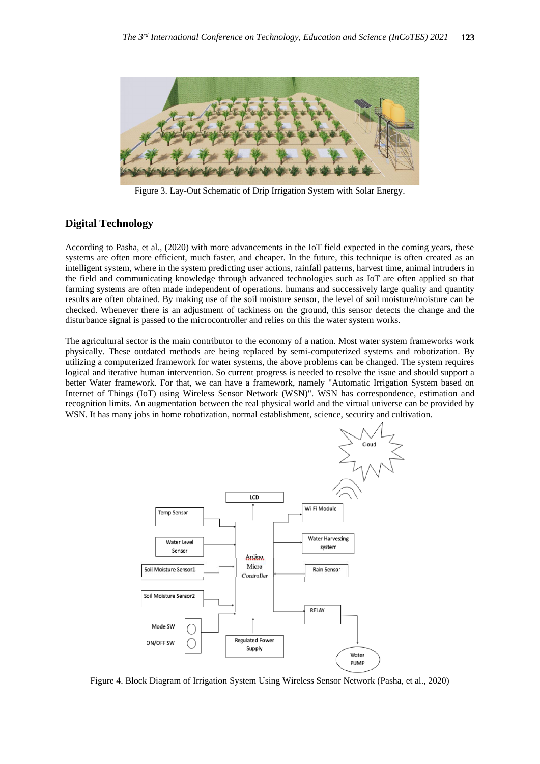

Figure 3. Lay-Out Schematic of Drip Irrigation System with Solar Energy.

## **Digital Technology**

According to Pasha, et al., (2020) with more advancements in the IoT field expected in the coming years, these systems are often more efficient, much faster, and cheaper. In the future, this technique is often created as an intelligent system, where in the system predicting user actions, rainfall patterns, harvest time, animal intruders in the field and communicating knowledge through advanced technologies such as IoT are often applied so that farming systems are often made independent of operations. humans and successively large quality and quantity results are often obtained. By making use of the soil moisture sensor, the level of soil moisture/moisture can be checked. Whenever there is an adjustment of tackiness on the ground, this sensor detects the change and the disturbance signal is passed to the microcontroller and relies on this the water system works.

The agricultural sector is the main contributor to the economy of a nation. Most water system frameworks work physically. These outdated methods are being replaced by semi-computerized systems and robotization. By utilizing a computerized framework for water systems, the above problems can be changed. The system requires logical and iterative human intervention. So current progress is needed to resolve the issue and should support a better Water framework. For that, we can have a framework, namely "Automatic Irrigation System based on Internet of Things (IoT) using Wireless Sensor Network (WSN)". WSN has correspondence, estimation and recognition limits. An augmentation between the real physical world and the virtual universe can be provided by WSN. It has many jobs in home robotization, normal establishment, science, security and cultivation.



Figure 4. Block Diagram of Irrigation System Using Wireless Sensor Network (Pasha, et al., 2020)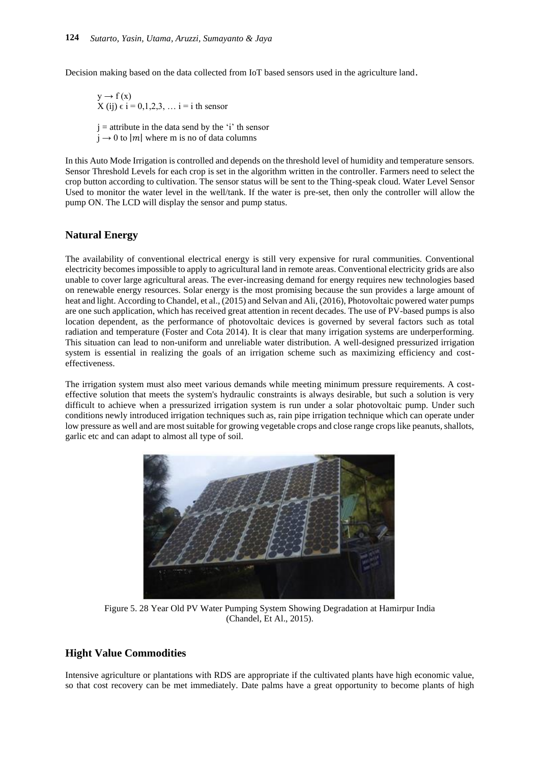Decision making based on the data collected from IoT based sensors used in the agriculture land.

 $y \rightarrow f(x)$  $X(i) \in i = 0,1,2,3,...$   $i = i$  th sensor

 $i =$  attribute in the data send by the 'i' th sensor

 $j \rightarrow 0$  to |m| where m is no of data columns

In this Auto Mode Irrigation is controlled and depends on the threshold level of humidity and temperature sensors. Sensor Threshold Levels for each crop is set in the algorithm written in the controller. Farmers need to select the crop button according to cultivation. The sensor status will be sent to the Thing-speak cloud. Water Level Sensor Used to monitor the water level in the well/tank. If the water is pre-set, then only the controller will allow the pump ON. The LCD will display the sensor and pump status.

## **Natural Energy**

The availability of conventional electrical energy is still very expensive for rural communities. Conventional electricity becomes impossible to apply to agricultural land in remote areas. Conventional electricity grids are also unable to cover large agricultural areas. The ever-increasing demand for energy requires new technologies based on renewable energy resources. Solar energy is the most promising because the sun provides a large amount of heat and light. According to Chandel, et al., (2015) and Selvan and Ali, (2016), Photovoltaic powered water pumps are one such application, which has received great attention in recent decades. The use of PV-based pumps is also location dependent, as the performance of photovoltaic devices is governed by several factors such as total radiation and temperature (Foster and Cota 2014). It is clear that many irrigation systems are underperforming. This situation can lead to non-uniform and unreliable water distribution. A well-designed pressurized irrigation system is essential in realizing the goals of an irrigation scheme such as maximizing efficiency and costeffectiveness.

The irrigation system must also meet various demands while meeting minimum pressure requirements. A costeffective solution that meets the system's hydraulic constraints is always desirable, but such a solution is very difficult to achieve when a pressurized irrigation system is run under a solar photovoltaic pump. Under such conditions newly introduced irrigation techniques such as, rain pipe irrigation technique which can operate under low pressure as well and are most suitable for growing vegetable crops and close range crops like peanuts, shallots, garlic etc and can adapt to almost all type of soil.



Figure 5. 28 Year Old PV Water Pumping System Showing Degradation at Hamirpur India (Chandel, Et Al., 2015).

## **Hight Value Commodities**

Intensive agriculture or plantations with RDS are appropriate if the cultivated plants have high economic value, so that cost recovery can be met immediately. Date palms have a great opportunity to become plants of high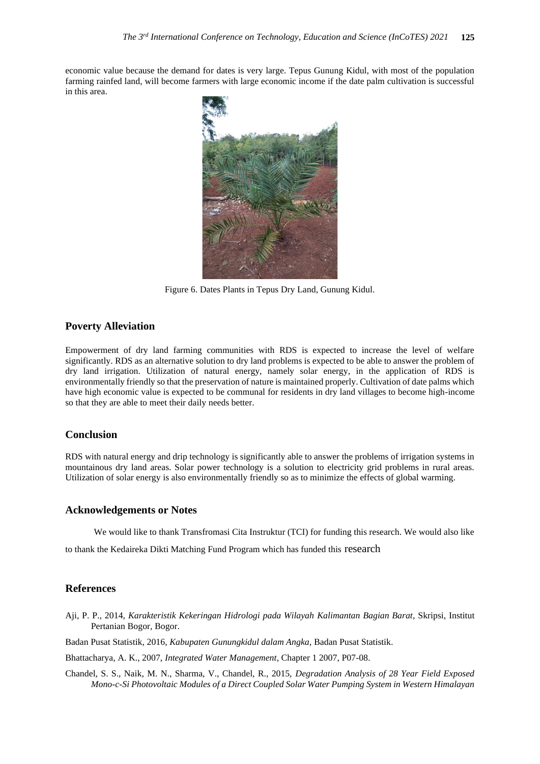economic value because the demand for dates is very large. Tepus Gunung Kidul, with most of the population farming rainfed land, will become farmers with large economic income if the date palm cultivation is successful in this area.



Figure 6. Dates Plants in Tepus Dry Land, Gunung Kidul.

#### **Poverty Alleviation**

Empowerment of dry land farming communities with RDS is expected to increase the level of welfare significantly. RDS as an alternative solution to dry land problems is expected to be able to answer the problem of dry land irrigation. Utilization of natural energy, namely solar energy, in the application of RDS is environmentally friendly so that the preservation of nature is maintained properly. Cultivation of date palms which have high economic value is expected to be communal for residents in dry land villages to become high-income so that they are able to meet their daily needs better.

#### **Conclusion**

RDS with natural energy and drip technology is significantly able to answer the problems of irrigation systems in mountainous dry land areas. Solar power technology is a solution to electricity grid problems in rural areas. Utilization of solar energy is also environmentally friendly so as to minimize the effects of global warming.

#### **Acknowledgements or Notes**

We would like to thank Transfromasi Cita Instruktur (TCI) for funding this research. We would also like

to thank the Kedaireka Dikti Matching Fund Program which has funded this research

#### **References**

- Aji, P. P., 2014, *Karakteristik Kekeringan Hidrologi pada Wilayah Kalimantan Bagian Barat*, Skripsi, Institut Pertanian Bogor, Bogor.
- Badan Pusat Statistik, 2016, *Kabupaten Gunungkidul dalam Angka,* Badan Pusat Statistik.

Bhattacharya, A. K., 2007, *Integrated Water Management*, Chapter 1 2007, P07-08.

Chandel, S. S., Naik, M. N., Sharma, V., Chandel, R., 2015, *Degradation Analysis of 28 Year Field Exposed Mono-c-Si Photovoltaic Modules of a Direct Coupled Solar Water Pumping System in Western Himalayan*